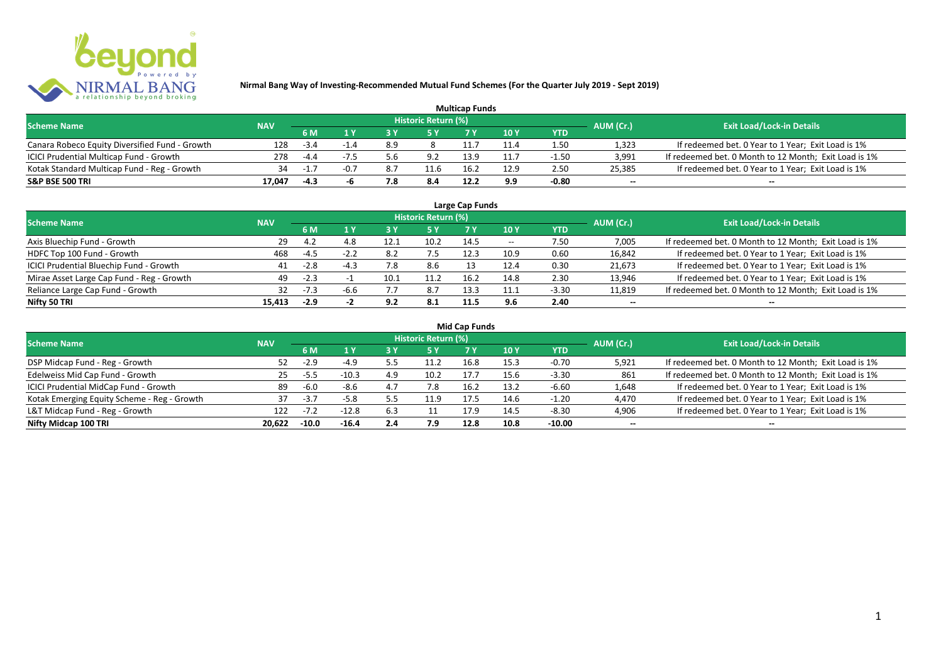

| <b>Multicap Funds</b>                          |            |        |        |            |                            |      |      |         |                          |                                                       |  |  |
|------------------------------------------------|------------|--------|--------|------------|----------------------------|------|------|---------|--------------------------|-------------------------------------------------------|--|--|
| <b>Scheme Name</b>                             | <b>NAV</b> |        |        |            | <b>Historic Return (%)</b> |      |      |         | AUM (Cr.)                | <b>Exit Load/Lock-in Details</b>                      |  |  |
|                                                |            | 6 M    |        |            |                            |      | 10Y  | YTD     |                          |                                                       |  |  |
| Canara Robeco Equity Diversified Fund - Growth | 128        | -3.4   |        | 8.9        |                            |      | 11.4 | 1.50    | 1,323                    | If redeemed bet. 0 Year to 1 Year; Exit Load is 1%    |  |  |
| ICICI Prudential Multicap Fund - Growth        | 278        | $-4.4$ |        | 5.6        | 9.2                        | 13.9 |      | -1.50   | 3,991                    | If redeemed bet. 0 Month to 12 Month; Exit Load is 1% |  |  |
| Kotak Standard Multicap Fund - Reg - Growth    | 34         | -1     | $-0.7$ | $\Omega$ . | 11.6                       | 16.  | 12.9 | 2.50    | 25,385                   | If redeemed bet. 0 Year to 1 Year; Exit Load is 1%    |  |  |
| S&P BSE 500 TRI                                | 17.047     | -4.3   |        | 8.'        | 8.4                        | 12.2 | 9.9  | $-0.80$ | $\overline{\phantom{a}}$ | $\overline{\phantom{a}}$                              |  |  |

|                                           |            |        |        |      | Historic Return (%) | Large Cap Funds |       |            |                          |                                                       |
|-------------------------------------------|------------|--------|--------|------|---------------------|-----------------|-------|------------|--------------------------|-------------------------------------------------------|
| <b>Scheme Name</b>                        | <b>NAV</b> | 6 M    | 1 ١    | 3 Y  | 5 Y                 |                 | 10 Y  | <b>YTD</b> | AUM (Cr.)                | <b>Exit Load/Lock-in Details</b>                      |
| Axis Bluechip Fund - Growth               | 29         | 4.2    | 4.8    | 12.1 | 10.2                | 14.5            | $- -$ | 7.50       | 7,005                    | If redeemed bet. 0 Month to 12 Month; Exit Load is 1% |
| HDFC Top 100 Fund - Growth                | 468        | -4.5   | $-2.2$ | 8.2  |                     |                 | 10.9  | 0.60       | 16,842                   | If redeemed bet. 0 Year to 1 Year; Exit Load is 1%    |
| ICICI Prudential Bluechip Fund - Growth   | 41         | $-2.8$ | $-4.3$ | 7.8  | 8.6                 |                 | 12.4  | 0.30       | 21,673                   | If redeemed bet. 0 Year to 1 Year; Exit Load is 1%    |
| Mirae Asset Large Cap Fund - Reg - Growth | 49         | $-2.3$ |        | 10.1 | 11.2                | 16.2            | 14.8  | 2.30       | 13,946                   | If redeemed bet. 0 Year to 1 Year; Exit Load is 1%    |
| Reliance Large Cap Fund - Growth          |            | $-7.3$ | $-6.6$ |      | 8.7                 | 13.3            | 11.1  | $-3.30$    | 11,819                   | If redeemed bet. 0 Month to 12 Month; Exit Load is 1% |
| Nifty 50 TRI                              | 15.413     | $-2.9$ |        | 9.2  | 8.1                 | 11.5            | 9.6   | 2.40       | $\overline{\phantom{a}}$ |                                                       |

| <b>Mid Cap Funds</b> |  |
|----------------------|--|
|----------------------|--|

| <b>Scheme Name</b>                          | <b>NAV</b> |         |         |     | Historic Return (%) |      |      |            | AUM (Cr.)                | <b>Exit Load/Lock-in Details</b>                      |
|---------------------------------------------|------------|---------|---------|-----|---------------------|------|------|------------|--------------------------|-------------------------------------------------------|
|                                             |            | 6 M     |         |     | 15 Y                | 7 V  | 10Y  | <b>YTD</b> |                          |                                                       |
| DSP Midcap Fund - Reg - Growth              | 52.        | $-2.9$  | $-4.9$  | 5.5 | 11.2                | 16.8 | 15.3 | $-0.70$    | 5,921                    | If redeemed bet. 0 Month to 12 Month; Exit Load is 1% |
| Edelweiss Mid Cap Fund - Growth             | 25         | -5.5    | $-10.3$ | 4.9 | 10.2                | 17.7 | 15.6 | $-3.30$    | 861                      | If redeemed bet. 0 Month to 12 Month; Exit Load is 1% |
| ICICI Prudential MidCap Fund - Growth       | 89         | $-6.0$  | $-8.6$  | 4.7 |                     | 16.2 | 13.2 | $-6.60$    | 1,648                    | If redeemed bet. 0 Year to 1 Year; Exit Load is 1%    |
| Kotak Emerging Equity Scheme - Reg - Growth |            | $-3.7$  | $-5.8$  |     | 11.9                | 17.5 | 14.6 | $-1.20$    | 4,470                    | If redeemed bet. 0 Year to 1 Year; Exit Load is 1%    |
| L&T Midcap Fund - Reg - Growth              | 122        |         | $-12.8$ | 6.3 |                     |      | 14.5 | $-8.30$    | 4,906                    | If redeemed bet. 0 Year to 1 Year; Exit Load is 1%    |
| Nifty Midcap 100 TRI                        | 20.622     | $-10.0$ | $-16.4$ | 2.4 | 7.9                 | 12.8 | 10.8 | $-10.00$   | $\overline{\phantom{a}}$ | $\overline{\phantom{a}}$                              |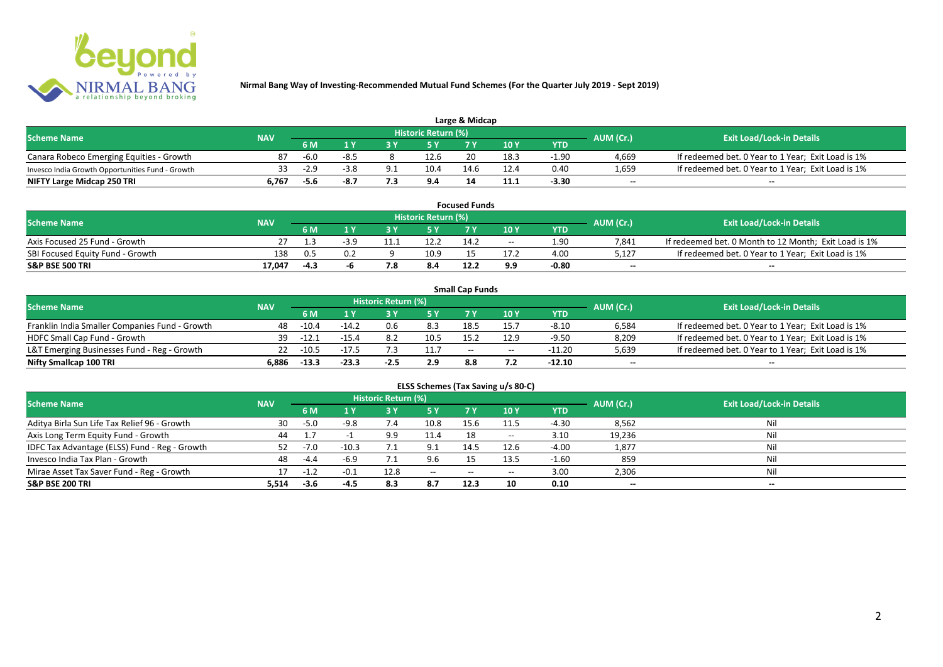

| Large & Midcap                                   |            |        |      |  |                            |      |      |       |                          |                                                    |  |  |
|--------------------------------------------------|------------|--------|------|--|----------------------------|------|------|-------|--------------------------|----------------------------------------------------|--|--|
| <b>Scheme Name</b>                               | <b>NAV</b> |        |      |  | <b>Historic Return (%)</b> |      |      |       | AUM (Cr.)                | <b>Exit Load/Lock-in Details</b>                   |  |  |
|                                                  |            | 6 M    |      |  |                            | 7 M  | 10Y  | YTD   |                          |                                                    |  |  |
| Canara Robeco Emerging Equities - Growth         | 87         | $-6.0$ | -8.5 |  | 12.6                       |      | 18.3 | -1.90 | 4,669                    | If redeemed bet. 0 Year to 1 Year; Exit Load is 1% |  |  |
| Invesco India Growth Opportunities Fund - Growth |            | $-2.9$ | -3.8 |  | 10.4                       | 14.6 | 12.4 | 0.40  | 1,659                    | If redeemed bet. 0 Year to 1 Year; Exit Load is 1% |  |  |
| NIFTY Large Midcap 250 TRI                       | 6.767      | -5.6   |      |  | 9.4                        |      |      | -3.30 | $\overline{\phantom{a}}$ | $\overline{\phantom{a}}$                           |  |  |

|                                  |            |           |     |                     | <b>Focused Funds</b> |       |            |                          |                                                       |
|----------------------------------|------------|-----------|-----|---------------------|----------------------|-------|------------|--------------------------|-------------------------------------------------------|
| <b>Scheme Name</b>               | <b>NAV</b> |           |     | Historic Return (%) |                      |       |            | AUM (Cr.)                | <b>Exit Load/Lock-in Details</b>                      |
|                                  |            | <b>6M</b> |     | <b>EV</b>           |                      | 10 Y  | <b>YTD</b> |                          |                                                       |
| Axis Focused 25 Fund - Growth    |            |           |     | 12.2                | 14.2                 | $- -$ | 1.90       | 7.841                    | If redeemed bet. 0 Month to 12 Month; Exit Load is 1% |
| SBI Focused Equity Fund - Growth | 138        | በ.5       | 0.2 | 10.9                |                      |       | 4.00       | 5.127                    | If redeemed bet. 0 Year to 1 Year; Exit Load is 1%    |
| <b>S&amp;P BSE 500 TRI</b>       | 17.047     | $-4.3$    |     | 8.4                 | 12.2                 | 9.9   | -0.80      | $\overline{\phantom{a}}$ | $- -$                                                 |

|                                                |            |         |         |                     |      | <b>Small Cap Funds</b> |                                       |            |                          |                                                    |
|------------------------------------------------|------------|---------|---------|---------------------|------|------------------------|---------------------------------------|------------|--------------------------|----------------------------------------------------|
| <b>Scheme Name</b>                             | <b>NAV</b> |         |         | Historic Return (%) |      |                        |                                       |            | AUM (Cr.)                | <b>Exit Load/Lock-in Details</b>                   |
|                                                |            | 6 M     |         |                     |      |                        | 10Y                                   | <b>YTD</b> |                          |                                                    |
| Franklin India Smaller Companies Fund - Growth | 48         | $-10.4$ | $-14.2$ | 0.6                 | 8.3  | 18.5                   | 15.7                                  | $-8.10$    | 6,584                    | If redeemed bet. 0 Year to 1 Year; Exit Load is 1% |
| HDFC Small Cap Fund - Growth                   | 39         | $-12.1$ | $-15.4$ |                     | 10.5 | 15.2                   | 12.9                                  | $-9.50$    | 8,209                    | If redeemed bet. 0 Year to 1 Year; Exit Load is 1% |
| L&T Emerging Businesses Fund - Reg - Growth    | 22         | $-10.5$ | $-17.5$ |                     | 11.7 | $- -$                  | $\hspace{0.05cm}$ – $\hspace{0.05cm}$ | $-11.20$   | 5,639                    | If redeemed bet. 0 Year to 1 Year; Exit Load is 1% |
| Nifty Smallcap 100 TRI                         | 6.886      | $-13.3$ | $-23.3$ | $-2.5$              | 2.9  | 8.8                    |                                       | -12.10     | $\overline{\phantom{a}}$ | $- -$                                              |

| ELSS Schemes (Tax Saving u/s 80-C)            |            |        |         |                            |                                       |           |       |            |           |                                  |  |  |
|-----------------------------------------------|------------|--------|---------|----------------------------|---------------------------------------|-----------|-------|------------|-----------|----------------------------------|--|--|
| <b>Scheme Name</b>                            | <b>NAV</b> |        |         | <b>Historic Return (%)</b> |                                       |           |       |            | AUM (Cr.) | <b>Exit Load/Lock-in Details</b> |  |  |
|                                               |            | 6 M    | 1 Y     | 73 Y                       | / 5 Y                                 | <b>7Y</b> | 10 Y  | <b>YTD</b> |           |                                  |  |  |
| Aditya Birla Sun Life Tax Relief 96 - Growth  | 30         | $-5.0$ | $-9.8$  | 7.4                        | 10.8                                  | 15.6      | 11.5  | $-4.30$    | 8,562     | Nil                              |  |  |
| Axis Long Term Equity Fund - Growth           | 44         |        |         | 9.9                        | 11.4                                  | 18        | $- -$ | 3.10       | 19,236    | Nil                              |  |  |
| IDFC Tax Advantage (ELSS) Fund - Reg - Growth | 52.        | $-7.0$ | $-10.3$ |                            | 9.1                                   | 14.5      | 12.6  | $-4.00$    | 1,877     | Nil                              |  |  |
| Invesco India Tax Plan - Growth               | 48         | -4.4   | $-6.9$  |                            |                                       |           | 13.5  | $-1.60$    | 859       | Nil                              |  |  |
| Mirae Asset Tax Saver Fund - Reg - Growth     |            | $-1.2$ | $-0.1$  | 12.8                       | $\hspace{0.05cm}$ – $\hspace{0.05cm}$ | $- -$     | $- -$ | 3.00       | 2,306     | Nil                              |  |  |
| <b>S&amp;P BSE 200 TRI</b>                    | 5,514      | $-3.6$ | -4.5    | 8.3                        | 8.7                                   | 12.3      | 10    | 0.10       | $\sim$    | $\overline{\phantom{a}}$         |  |  |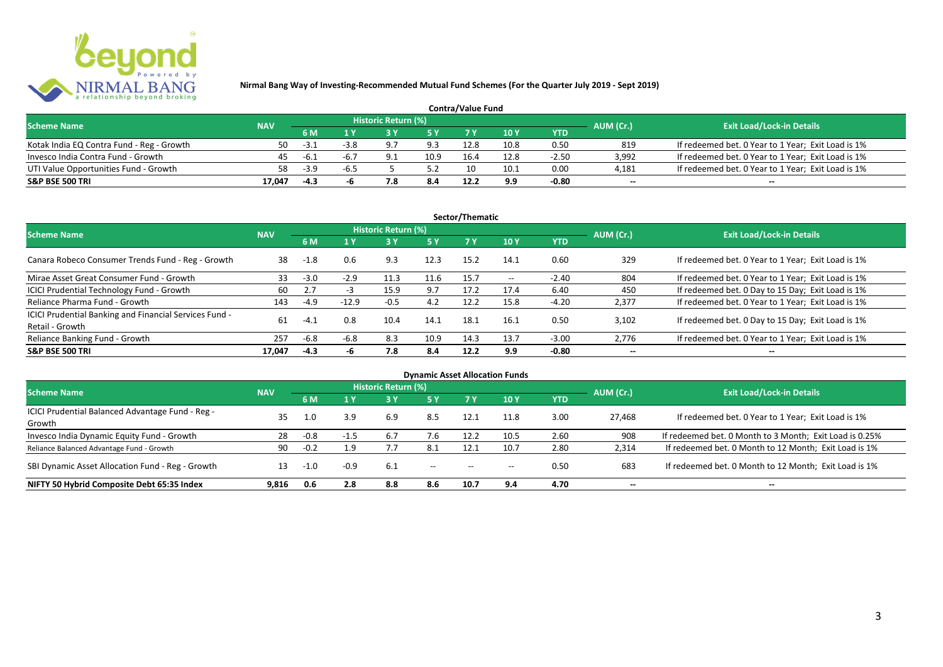

| <b>Contra/Value Fund</b>                  |            |        |        |                     |      |      |      |         |                          |                                                    |  |  |
|-------------------------------------------|------------|--------|--------|---------------------|------|------|------|---------|--------------------------|----------------------------------------------------|--|--|
| <b>Scheme Name</b>                        | <b>NAV</b> |        |        | Historic Return (%) |      |      |      |         | AUM (Cr.)                | <b>Exit Load/Lock-in Details</b>                   |  |  |
|                                           |            | 6 M    |        |                     |      |      | 10 Y | YTD     |                          |                                                    |  |  |
| Kotak India EQ Contra Fund - Reg - Growth | 50         | $-3.1$ |        |                     | 9.3  | 12.8 | 10.8 | 0.50    | 819                      | If redeemed bet. 0 Year to 1 Year; Exit Load is 1% |  |  |
| Invesco India Contra Fund - Growth        | 45         | -6.1   | -6.1   |                     | 10.9 | 16.4 | 12.8 | $-2.50$ | 3.992                    | If redeemed bet. 0 Year to 1 Year; Exit Load is 1% |  |  |
| UTI Value Opportunities Fund - Growth     | 58         | $-3.9$ | $-6.5$ |                     |      |      | 10.1 | 0.00    | 4,181                    | If redeemed bet. 0 Year to 1 Year; Exit Load is 1% |  |  |
| <b>S&amp;P BSE 500 TRI</b>                | 17.047     | -4.3   |        |                     | 8.4  | 12.2 | 9.9  | $-0.80$ | $\overline{\phantom{a}}$ | $\qquad \qquad$                                    |  |  |

|                                                                           |            |        |         |                     |           | Sector/Thematic |                   |            |                          |                                                    |
|---------------------------------------------------------------------------|------------|--------|---------|---------------------|-----------|-----------------|-------------------|------------|--------------------------|----------------------------------------------------|
| <b>Scheme Name</b>                                                        | <b>NAV</b> |        |         | Historic Return (%) |           |                 |                   |            | AUM (Cr.)                | <b>Exit Load/Lock-in Details</b>                   |
|                                                                           |            | 6 M    | $A$ Y   |                     | <b>5Y</b> | 7Y              | 10Y               | <b>YTD</b> |                          |                                                    |
| Canara Robeco Consumer Trends Fund - Reg - Growth                         | 38         | $-1.8$ | 0.6     | 9.3                 | 12.3      | 15.2            | 14.1              | 0.60       | 329                      | If redeemed bet. 0 Year to 1 Year; Exit Load is 1% |
| Mirae Asset Great Consumer Fund - Growth                                  | 33         | $-3.0$ | $-2.9$  | 11.3                | 11.6      | 15.7            | $\hspace{0.05cm}$ | $-2.40$    | 804                      | If redeemed bet. 0 Year to 1 Year; Exit Load is 1% |
| ICICI Prudential Technology Fund - Growth                                 | 60         | 2.7    | -3      | 15.9                | 9.7       | 17.2            | 17.4              | 6.40       | 450                      | If redeemed bet. 0 Day to 15 Day; Exit Load is 1%  |
| Reliance Pharma Fund - Growth                                             | 143        | $-4.9$ | $-12.9$ | $-0.5$              | 4.2       | 12.2            | 15.8              | $-4.20$    | 2,377                    | If redeemed bet. 0 Year to 1 Year; Exit Load is 1% |
| ICICI Prudential Banking and Financial Services Fund -<br>Retail - Growth | 61         | $-4.1$ | 0.8     | 10.4                | 14.1      | 18.1            | 16.1              | 0.50       | 3.102                    | If redeemed bet. 0 Day to 15 Day; Exit Load is 1%  |
| Reliance Banking Fund - Growth                                            | 257        | $-6.8$ | $-6.8$  | 8.3                 | 10.9      | 14.3            | 13.7              | $-3.00$    | 2,776                    | If redeemed bet. 0 Year to 1 Year; Exit Load is 1% |
| <b>S&amp;P BSE 500 TRI</b>                                                | 17.047     | $-4.3$ | -h      | 7.8                 | 8.4       | 12.2            | 9.9               | $-0.80$    | $\overline{\phantom{a}}$ | $- -$                                              |

|                                                  |            |        |        |                            |                                       |                                       | <b>Dynamic Asset Allocation Funds</b> |            |                          |                                                         |
|--------------------------------------------------|------------|--------|--------|----------------------------|---------------------------------------|---------------------------------------|---------------------------------------|------------|--------------------------|---------------------------------------------------------|
| Scheme Name                                      | <b>NAV</b> |        |        | <b>Historic Return (%)</b> |                                       |                                       |                                       |            | AUM (Cr.)                | <b>Exit Load/Lock-in Details</b>                        |
|                                                  |            | 6 M    | 1 Y    | 73 V.                      | 5 Y                                   |                                       | 10Y                                   | <b>YTD</b> |                          |                                                         |
| ICICI Prudential Balanced Advantage Fund - Reg - | 35         |        |        |                            |                                       |                                       |                                       |            |                          |                                                         |
| Growth                                           |            | 1.0    | 3.9    | 6.9                        | 8.5                                   | 12.1                                  | 11.8                                  | 3.00       | 27.468                   | If redeemed bet. 0 Year to 1 Year; Exit Load is 1%      |
| Invesco India Dynamic Equity Fund - Growth       | 28         | $-0.8$ | $-1.5$ |                            |                                       | 12.2                                  | 10.5                                  | 2.60       | 908                      | If redeemed bet. 0 Month to 3 Month; Exit Load is 0.25% |
| Reliance Balanced Advantage Fund - Growth        | 90         | $-0.2$ | 1.9    |                            | -8.1                                  | 12.1                                  | 10.7                                  | 2.80       | 2,314                    | If redeemed bet. 0 Month to 12 Month; Exit Load is 1%   |
| SBI Dynamic Asset Allocation Fund - Reg - Growth |            | $-1.0$ | $-0.9$ | -6.1                       | $\hspace{0.05cm}$ – $\hspace{0.05cm}$ | $\hspace{0.05cm}$ – $\hspace{0.05cm}$ | $- -$                                 | 0.50       | 683                      | If redeemed bet. 0 Month to 12 Month; Exit Load is 1%   |
| NIFTY 50 Hybrid Composite Debt 65:35 Index       | 9.816      | 0.6    | 2.8    | 8.8                        | 8.6                                   | 10.7                                  | 9.4                                   | 4.70       | $\overline{\phantom{a}}$ | $- -$                                                   |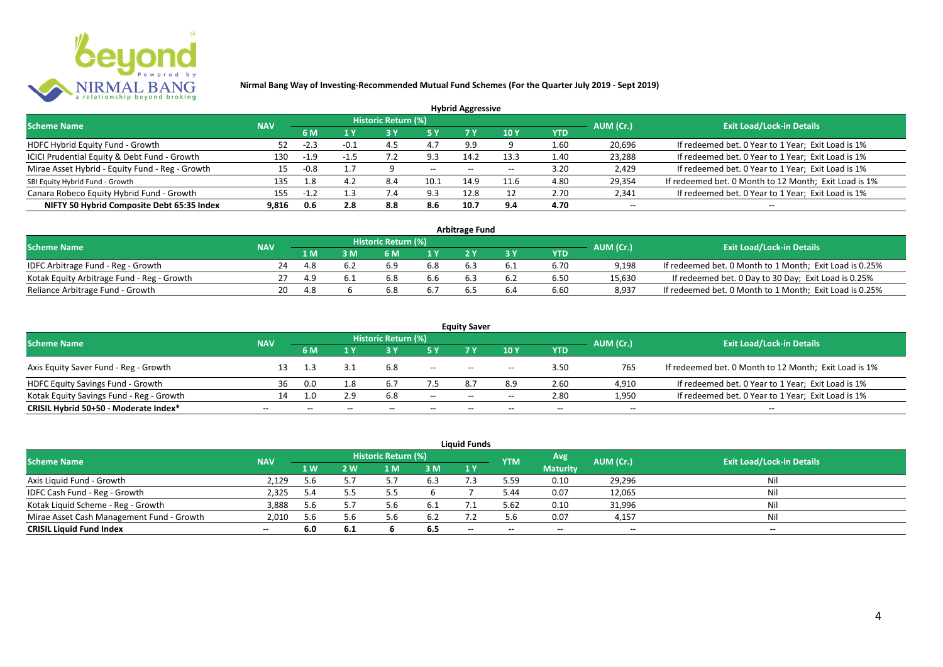

|                                                 |            |        |     |                            |       | <b>Hybrid Aggressive</b> |      |      |                          |                                                       |
|-------------------------------------------------|------------|--------|-----|----------------------------|-------|--------------------------|------|------|--------------------------|-------------------------------------------------------|
| <b>Scheme Name</b>                              | <b>NAV</b> |        |     | <b>Historic Return (%)</b> |       |                          |      |      | AUM (Cr.)                | <b>Exit Load/Lock-in Details</b>                      |
|                                                 |            | 6 M    | 1 Y |                            |       | 7 Y                      | 10Y  | YTD  |                          |                                                       |
| HDFC Hybrid Equity Fund - Growth                |            | $-2.3$ |     |                            | 4.7   | 9.9                      |      | 1.60 | 20,696                   | If redeemed bet. 0 Year to 1 Year; Exit Load is 1%    |
| ICICI Prudential Equity & Debt Fund - Growth    | 130        | $-1.9$ |     |                            | 9.3   | 14.2                     | 13.3 | 1.40 | 23,288                   | If redeemed bet. 0 Year to 1 Year; Exit Load is 1%    |
| Mirae Asset Hybrid - Equity Fund - Reg - Growth | 15         | $-0.8$ | 17  |                            | $- -$ | $-$                      |      | 3.20 | 2,429                    | If redeemed bet. 0 Year to 1 Year; Exit Load is 1%    |
| SBI Equity Hybrid Fund - Growth                 | 135        | 1.8    |     | 8.4                        | 10.1  | 14.9                     | 11.6 | 4.80 | 29,354                   | If redeemed bet. 0 Month to 12 Month; Exit Load is 1% |
| Canara Robeco Equity Hybrid Fund - Growth       | 155        | $-1.2$ |     |                            | 9.3   | 12.8                     |      | 2.70 | 2,341                    | If redeemed bet. 0 Year to 1 Year; Exit Load is 1%    |
| NIFTY 50 Hybrid Composite Debt 65:35 Index      | 9.816      | 0.6    | 2.8 | 8.8                        | 8.6   | 10.7                     | 9.4  | 4.70 | $\overline{\phantom{a}}$ | $- -$                                                 |

| <b>Arbitrage Fund</b>                      |            |     |  |                     |     |  |     |            |           |                                                         |
|--------------------------------------------|------------|-----|--|---------------------|-----|--|-----|------------|-----------|---------------------------------------------------------|
| <b>Scheme Name</b>                         | <b>NAV</b> |     |  | Historic Return (%) |     |  |     |            | AUM (Cr.) | <b>Exit Load/Lock-in Details</b>                        |
|                                            |            | 1 M |  | 6 M                 |     |  |     | <b>YTD</b> |           |                                                         |
| IDFC Arbitrage Fund - Reg - Growth         | 24         | 4.8 |  | 6.9                 | 6.8 |  |     | 6.70       | 9.198     | If redeemed bet. 0 Month to 1 Month; Exit Load is 0.25% |
| Kotak Equity Arbitrage Fund - Reg - Growth |            | 4.9 |  | 6.8                 | b.b |  | 6.2 | 6.50       | 15,630    | If redeemed bet. 0 Day to 30 Day; Exit Load is 0.25%    |
| Reliance Arbitrage Fund - Growth           | 20         | 4.8 |  |                     |     |  | b.4 | 6.60       | 8.937     | If redeemed bet. 0 Month to 1 Month; Exit Load is 0.25% |

|                                          |                          |              |                          |                     |        | <b>Equity Saver</b> |                                       |                          |                          |                                                       |
|------------------------------------------|--------------------------|--------------|--------------------------|---------------------|--------|---------------------|---------------------------------------|--------------------------|--------------------------|-------------------------------------------------------|
| <b>Scheme Name</b>                       | <b>NAV</b>               |              |                          | Historic Return (%) |        |                     |                                       |                          | AUM (Cr.)                | <b>Exit Load/Lock-in Details</b>                      |
|                                          |                          | 6 M          |                          |                     |        |                     | 10 Y                                  | <b>YTD</b>               |                          |                                                       |
| Axis Equity Saver Fund - Reg - Growth    |                          |              |                          | 6.8                 | $- -$  | $- -$               | $\overline{\phantom{a}}$              | 3.50                     | 765                      | If redeemed bet. 0 Month to 12 Month; Exit Load is 1% |
| <b>HDFC Equity Savings Fund - Growth</b> | 36                       | 0.0          | ⊥.8                      |                     |        | 8.7                 |                                       | 2.60                     | 4,910                    | If redeemed bet. 0 Year to 1 Year; Exit Load is 1%    |
| Kotak Equity Savings Fund - Reg - Growth | 14.                      |              | 2.9                      | 6.8                 | $- -$  | $- -$               | $\hspace{0.05cm}$ – $\hspace{0.05cm}$ | 2.80                     | 1,950                    | If redeemed bet. 0 Year to 1 Year; Exit Load is 1%    |
| CRISIL Hybrid 50+50 - Moderate Index*    | $\overline{\phantom{a}}$ | $\mathbf{m}$ | $\overline{\phantom{a}}$ | $- -$               | $\sim$ | $- -$               | $\overline{\phantom{a}}$              | $\overline{\phantom{a}}$ | $\overline{\phantom{a}}$ | $- -$                                                 |

|                                           |            |     |       |                     |      | <b>Liquid Funds</b> |            |                 |                          |                                  |
|-------------------------------------------|------------|-----|-------|---------------------|------|---------------------|------------|-----------------|--------------------------|----------------------------------|
| <b>Scheme Name</b>                        | <b>NAV</b> |     |       | Historic Return (%) |      |                     | <b>YTM</b> | Avg             | AUM (Cr.)                | <b>Exit Load/Lock-in Details</b> |
|                                           |            | 1 W | 2 W   | 1 M                 | 3 M  | 1Y                  |            | <b>Maturity</b> |                          |                                  |
| Axis Liquid Fund - Growth                 | 2.129      | 5.6 | 5.7   |                     | 6.3  |                     | 5.59       | 0.10            | 29,296                   | Nil                              |
| IDFC Cash Fund - Reg - Growth             | 2,325      | 5.4 |       |                     |      |                     | 5.44       | 0.07            | 12,065                   | Nil                              |
| Kotak Liquid Scheme - Reg - Growth        | 3,888      | 5.6 | 5.7   |                     | -6.1 |                     | 5.62       | 0.10            | 31,996                   | Nil                              |
| Mirae Asset Cash Management Fund - Growth | 2,010      | 5.6 | 5.6   |                     | 6.2  |                     | 5.6        | 0.07            | 4,157                    | Nil                              |
| <b>CRISIL Liquid Fund Index</b>           | $- -$      | 6.0 | - 6.1 |                     | 6.5  | $- -$               | $- -$      | $- -$           | $\overline{\phantom{a}}$ | $- -$                            |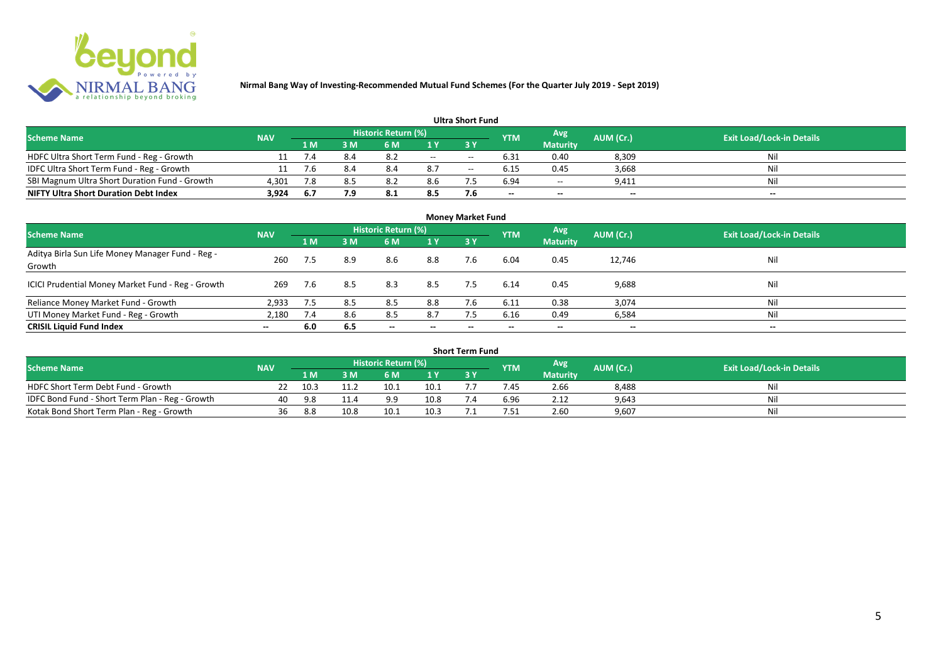

| <b>Ultra Short Fund</b>                       |            |     |     |                     |       |       |            |                          |                          |                                  |
|-----------------------------------------------|------------|-----|-----|---------------------|-------|-------|------------|--------------------------|--------------------------|----------------------------------|
| <b>Scheme Name</b>                            | <b>NAV</b> |     |     | Historic Return (%) |       |       | <b>YTM</b> | Avg                      | AUM (Cr.)                | <b>Exit Load/Lock-in Details</b> |
|                                               |            | 1 M | sм  | 6 M                 |       |       |            | <b>Maturity</b>          |                          |                                  |
| HDFC Ultra Short Term Fund - Reg - Growth     |            | 7.4 | 8.4 | 8.2                 | $- -$ | $- -$ | 6.31       | 0.40                     | 8,309                    | Nil                              |
| IDFC Ultra Short Term Fund - Reg - Growth     |            | 7.6 | 8.4 | 8.4                 | 8.7   | $- -$ | 6.15       | 0.45                     | 3,668                    | Nil                              |
| SBI Magnum Ultra Short Duration Fund - Growth | 4,301      | 7.8 | 8.5 | 8.2                 | 8.6   |       | 6.94       | $\overline{\phantom{a}}$ | 9,411                    | Nil                              |
| <b>NIFTY Ultra Short Duration Debt Index</b>  | 3,924      | 6.7 |     | 8.1                 | 8.5   | 7.6   | $- -$      | --                       | $\overline{\phantom{a}}$ | $\overline{\phantom{a}}$         |

| <b>Money Market Fund</b>                                   |            |     |     |                                                   |                          |                          |            |                        |                          |                                  |
|------------------------------------------------------------|------------|-----|-----|---------------------------------------------------|--------------------------|--------------------------|------------|------------------------|--------------------------|----------------------------------|
| <b>Scheme Name</b>                                         | <b>NAV</b> |     |     | <b>Historic Return (%)</b>                        |                          |                          | <b>YTM</b> | Avg<br><b>Maturity</b> | AUM (Cr.)                | <b>Exit Load/Lock-in Details</b> |
|                                                            |            | 1 M | 3M  | 6 M                                               | 1Y                       | <b>3Y</b>                |            |                        |                          |                                  |
| Aditya Birla Sun Life Money Manager Fund - Reg -<br>Growth | 260        | 7.5 | 8.9 | 8.6                                               | 8.8                      | 7.6                      | 6.04       | 0.45                   | 12,746                   | Nil                              |
| ICICI Prudential Money Market Fund - Reg - Growth          | 269        | 7.6 | 8.5 | 8.3                                               | 8.5                      | 7.5                      | 6.14       | 0.45                   | 9,688                    | Nil                              |
| Reliance Money Market Fund - Growth                        | 2,933      | 7.5 | 8.5 | 8.5                                               | 8.8                      |                          | 6.11       | 0.38                   | 3,074                    | Nil                              |
| UTI Money Market Fund - Reg - Growth                       | 2,180      | 7.4 | 8.6 | 8.5                                               | 8.7                      | 7.5                      | 6.16       | 0.49                   | 6,584                    | Nil                              |
| <b>CRISIL Liquid Fund Index</b>                            | $- -$      | 6.0 | 6.5 | $\hspace{0.05cm}-\hspace{0.05cm}-\hspace{0.05cm}$ | $\overline{\phantom{a}}$ | $\overline{\phantom{a}}$ | $\!-$      | $\sim$                 | $\overline{\phantom{a}}$ | $\overline{\phantom{a}}$         |

| Short Term Fund                                 |            |      |      |                     |                |  |            |                 |           |                                  |
|-------------------------------------------------|------------|------|------|---------------------|----------------|--|------------|-----------------|-----------|----------------------------------|
| <b>Scheme Name</b>                              | <b>NAV</b> |      |      | Historic Return (%) |                |  | <b>YTM</b> | Avg             | AUM (Cr.) | <b>Exit Load/Lock-in Details</b> |
|                                                 |            | 1 M  |      | 6 M                 | 1 <sub>Y</sub> |  |            | <b>Maturity</b> |           |                                  |
| HDFC Short Term Debt Fund - Growth              |            | 10.3 |      | 10.1                | 10.1           |  | 7.45       | 2.66            | 8,488     | Nil                              |
| IDFC Bond Fund - Short Term Plan - Reg - Growth | 40         | 9.8  | 11.4 |                     | 10.8           |  | 6.96       | 2.12            | 9,643     | Nil                              |
| Kotak Bond Short Term Plan - Reg - Growth       | 36         | 8.8  | 10.8 | 10.1                | 10.3           |  | '.51       | 2.60            | 9,607     | Nil                              |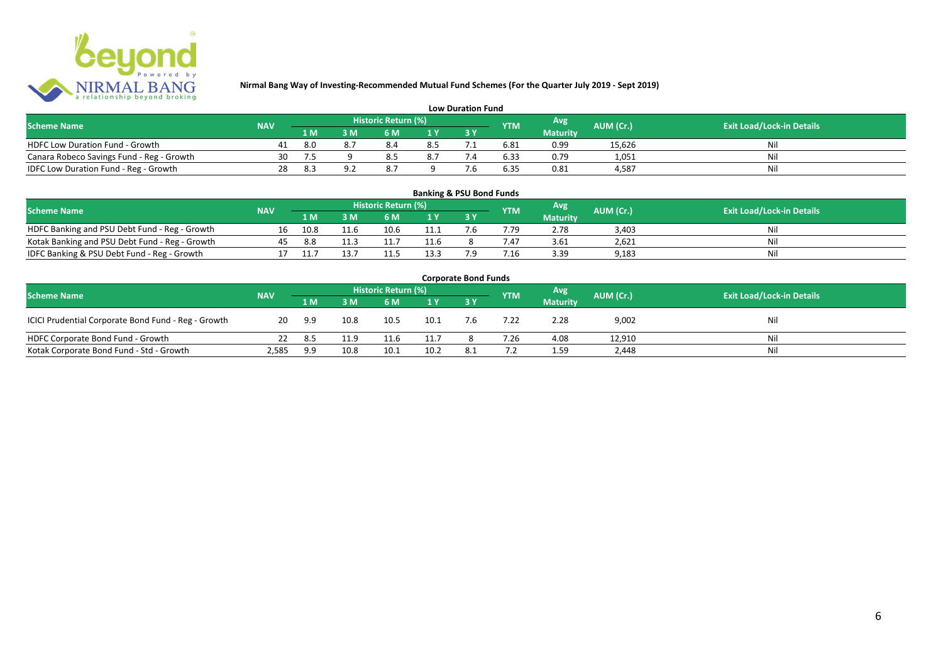

| <b>Low Duration Fund</b>                  |            |     |  |                     |     |  |            |                 |           |                                  |
|-------------------------------------------|------------|-----|--|---------------------|-----|--|------------|-----------------|-----------|----------------------------------|
| <b>Scheme Name</b>                        | <b>NAV</b> |     |  | Historic Return (%) |     |  | <b>YTM</b> | Avg             | AUM (Cr.) | <b>Exit Load/Lock-in Details</b> |
|                                           |            | 1 M |  | 6 M                 |     |  |            | <b>Maturity</b> |           |                                  |
| <b>HDFC Low Duration Fund - Growth</b>    | 41         | 8.0 |  |                     | 8.5 |  | 6.81       | 0.99            | 15,626    | Nli                              |
| Canara Robeco Savings Fund - Reg - Growth | 30         |     |  | 8.5                 | 8.7 |  | 6.33       | 0.79            | 1,051     | Ni                               |
| IDFC Low Duration Fund - Reg - Growth     | 28         | 8.3 |  |                     |     |  | 6.35       | 0.81            | 4.587     | Ni                               |

#### **1 M 3 M 6 M 1 Y 3 Y** Notak Banking and PSU Debt Fund - Reg - Growth 16 10.8 11.6 10.6 11.1 7.6 7.79 2.78 3,403 Nil<br>
Kotak Banking and PSU Debt Fund - Reg - Growth 45 8.8 11.3 11.7 11.6 8 7.47 3.61 2,621 Nil Notak Banking and PSU Debt Fund - Reg - Growth <br>
17 11.7 11.7 11.5 13.3 7.9 7.16 3.39 9.183 1.33 9.183 11.3 11.7 Nil IDFC Banking & PSU Debt Fund - Reg - Growth 17 11.7 13.7 11.5 13.3 7.9 7.16 3.39 9,183 **Banking & PSU Bond Funds Scheme Name NAV REGISTER AUM (Cr.) AUM (Cr.)** Exit Load/Lock-in Details **Historic Return (%) Maturity**

| <b>Corporate Bond Funds</b>                         |            |     |      |                     |      |     |            |                 |           |                                  |
|-----------------------------------------------------|------------|-----|------|---------------------|------|-----|------------|-----------------|-----------|----------------------------------|
| <b>Scheme Name</b>                                  | <b>NAV</b> |     |      | Historic Return (%) |      |     | <b>YTM</b> | <b>Avg</b>      | AUM (Cr.) | <b>Exit Load/Lock-in Details</b> |
|                                                     |            | 1 M | 3 M  | 6 M                 | 1Y   |     |            | <b>Maturity</b> |           |                                  |
| ICICI Prudential Corporate Bond Fund - Reg - Growth | 20         | 9.9 | 10.8 | 10.5                | 10.1 | 7.6 | 7.22       | 2.28            | 9,002     | Nil                              |
| HDFC Corporate Bond Fund - Growth                   |            | 8.5 | 11.9 | 11.6                | 11.7 |     | 7.26       | 4.08            | 12,910    | Ni                               |
| Kotak Corporate Bond Fund - Std - Growth            | 2,585      | 9.9 | 10.8 | 10.1                | 10.2 | 8.1 |            | 1.59            | 2,448     | Nil                              |